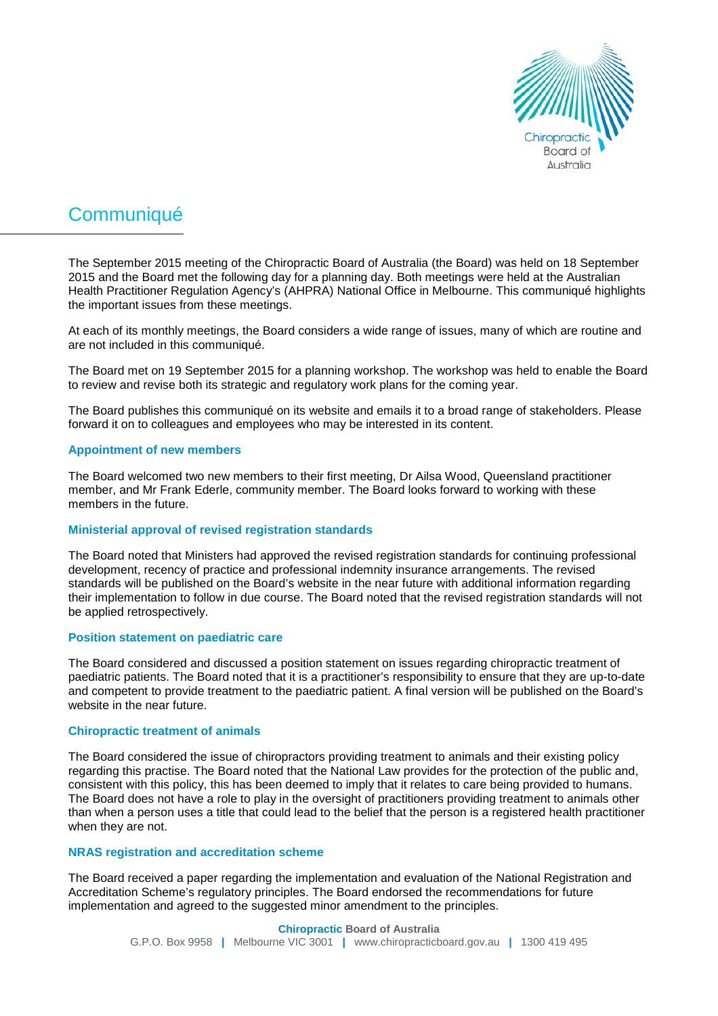

# **Communiqué**

The September 2015 meeting of the Chiropractic Board of Australia (the Board) was held on 18 September 2015 and the Board met the following day for a planning day. Both meetings were held at the Australian Health Practitioner Regulation Agency's (AHPRA) National Office in Melbourne. This communiqué highlights the important issues from these meetings.

At each of its monthly meetings, the Board considers a wide range of issues, many of which are routine and are not included in this communiqué.

The Board met on 19 September 2015 for a planning workshop. The workshop was held to enable the Board to review and revise both its strategic and regulatory work plans for the coming year.

The Board publishes this communiqué on its website and emails it to a broad range of stakeholders. Please forward it on to colleagues and employees who may be interested in its content.

#### **Appointment of new members**

The Board welcomed two new members to their first meeting, Dr Ailsa Wood, Queensland practitioner member, and Mr Frank Ederle, community member. The Board looks forward to working with these members in the future.

#### **Ministerial approval of revised registration standards**

The Board noted that Ministers had approved the revised registration standards for continuing professional development, recency of practice and professional indemnity insurance arrangements. The revised standards will be published on the Board's website in the near future with additional information regarding their implementation to follow in due course. The Board noted that the revised registration standards will not be applied retrospectively.

#### **Position statement on paediatric care**

The Board considered and discussed a position statement on issues regarding chiropractic treatment of paediatric patients. The Board noted that it is a practitioner's responsibility to ensure that they are up-to-date and competent to provide treatment to the paediatric patient. A final version will be published on the Board's website in the near future.

#### **Chiropractic treatment of animals**

The Board considered the issue of chiropractors providing treatment to animals and their existing policy regarding this practise. The Board noted that the National Law provides for the protection of the public and, consistent with this policy, this has been deemed to imply that it relates to care being provided to humans. The Board does not have a role to play in the oversight of practitioners providing treatment to animals other than when a person uses a title that could lead to the belief that the person is a registered health practitioner when they are not.

## **NRAS registration and accreditation scheme**

The Board received a paper regarding the implementation and evaluation of the National Registration and Accreditation Scheme's regulatory principles. The Board endorsed the recommendations for future implementation and agreed to the suggested minor amendment to the principles.